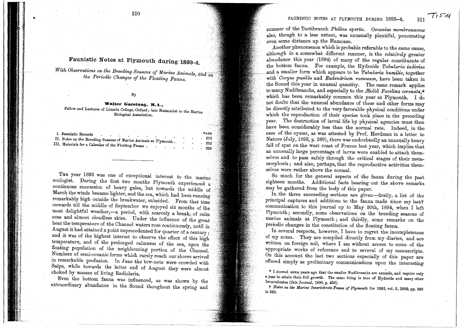210

# Faunistic Notes at Plymouth during 1893-4.

With Observations on the Breeding Seasons of Marine Animals, and on the Periodic Changes of the Floating Fauna.

## $Bv$

## Walter Garstang, M.A.,

Fellow and Lecturer of Lincoln College, Oxford; late Naturalist to the Marine Biological Association.

| I. Faunistic Records                                             |  | PAGE |
|------------------------------------------------------------------|--|------|
| II. Notes on the Breeding Seasons of Marine Animals at Plymouth. |  | 212  |
| III. Materials for a Calendar of the Floating Fauna.             |  | 222  |
|                                                                  |  | ൈ    |

THE year 1893 was one of exceptional interest to the marine zoologist. During the first two months Plymouth experienced a continuous succession of heavy gales, but towards the middle of March the winds became lighter, and the sea, which had been running remarkably high outside the breakwater, subsided. From that time onwards till the middle of September we enjoyed six months of the most delightful weather,-a period, with scarcely a break, of calm seas and almost cloudless skies. Under the influence of the great heat the temperature of the Channel waters rose continuously, until in August it had attained a point unprecedented for quarter of a century; and it was of the highest interest to observe the effect of this high temperature, and of the prolonged calmness of the sea, upon the floating population of the neighbouring portion of the Channel. Numbers of semi-oceanic forms which rarely reach our shores arrived in remarkable profusion. In June the tow-nets were crowded with Salps, while towards the latter end of August they were almost choked by masses of living Radiolaria.

Even the bottom fauna was influenced, as was shown by the extraordinary abundance in the Sound thoughout the spring and summer of the Tectibranch Philine aperta. Oscanius membranaceus also, though to a less extent, was unusually plentiful, penetrating even some distance up the Hamoaze.

Another phenomenon which is probable referable to the same cause, although in a somewhat different manner, is the relatively greater abundance this year (1894) of many of the regular constituents of the bottom fauna. For example, the Hydroids Tubularia indivisa and a smaller form which appears to be Tubularia humilis, together with Corune pusilla and Eudendrium ramosum, have been taken in the Sound this year in unusual quantity. The same remark applies to many Nudibranchs, and especially to the Æolid Facelina coronata,\* which has been remarkably common this year at Plymouth. I do not doubt that the unusual abundance of these and other forms may be directly attributed to the very favorable physical conditions under which the reproduction of their species took place in the preceding year. The destruction of larval life by physical agencies must then have been considerably less than the normal rate. Indeed, in the case of the oyster, as was attested by Prof. Herdman in a letter to Nature (July, 1893, p. 269), there was undoubtedly an unusually heavy fall of spat on the west coast of France last year, which implies that an unusually large percentage of larvæ were enabled to attach themselves and to pass safely through the critical stages of their metamorphosis; and also, perhaps, that the reproductive activities themselves were rather above the normal.

So much for the general aspects of the fauna during the past eighteen months. Additional facts bearing out the above remarks may be gathered from the body of this paper.

In the three succeeding sections are given-firstly, a list of the principal captures and additions to the fauna made since my last communication to this journal up to May 30th, 1894, when I left Plymouth; secondly, some observations on the breeding seasons of marine animals at Plymouth; and thirdly, some remarks on the periodic changes in the constitution of the floating fauna.

In several respects, however, I have to regret the incompleteness of my notes. They are compiled directly from my diaries, and are written on foreign soil, where I am without access to some of the appropriate works of reference and to several of my manuscripts. On this account the last two sections especially of this paper are offered simply as preliminary communications upon the interesting

† Notes on the Marine Invertebrate Fauna of Plymouth for 1892, vol. ii, 1892, pp. 333 to 339.

 $T_{154}$ 

<sup>\*</sup> I showed some years ago that the smaller Nudibranchs are annuals, and require only a year to attain their full growth. The same thing is true of Hydroids and many other Invertebrates (this Journal, 1890, p. 450).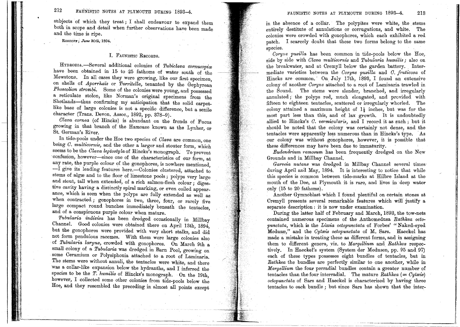subjects of which they treat; I shall endeavour to expand them both in scope and detail when further observations have been made and the time is ripe. .

ROSCOFF; *June* 30th, 1894.

1

i! i **Little** 

I

II<br>III

## I. FAUNISTIC RECORDS.

HYDROZOA.-Several additional colonies of *Tubiclava cbrnucopire* have been obtained in 15 to 25 fathoms of water south of the Mewstone. In all cases they were growing, like our first specimen. on shells of *Aporrhais* or *Turritella*, tenanted by the Gephyrean *Phoscolion strombi.* Some of the colonies were young, and possessed a reticulate stolon, like Norman's original specimens from the Shetlands-thus confirming my anticipation that the solid carpetlike base of large colonies is not a specific difference, but a senile character (Trans. Devon. Assoc., 1892, pp. 378-9).

*Olava cornea* (of Hincks) is abundant on the fronds of Fucus growing in that branch of the Hamoaze known as the Lynher, or St. German's River. , where  $\mathcal{L}$  is the set of  $\mathcal{L}$ 

In tide-pools under the Hoe two species of *Olava* are common, one being  $C$ , *multicornis*, and the other a larger and stouter form, which seems to be the *Olava lepto8tyla* of Hincks's monograph. To prevent confusion, however-since one of the characteristics of our form, at any rate, the purple colour of the gonophores, is nowhere mentioned  $-1$  give its leading features here. $-$ Colonies clustered, attached to stems of algæ and to the floor of limestone pools; polyps very large and stout, tall when extended, of a rich salmon-flesh colour; digestive cavity having a distinctly spiral marking, or even coiled appearance, which is seen when the polyps are fully extended as well as when contracted; gonophores in two, three, four, or rarely five large compact round bunches immediately beneath the tentacles and of a conspicuous purple colour when mature.

*Tubularia indivi8a* has been dredged occasionally in Millbay Channel. Good colonies were obtained there on April 13th, 1894, but the gonophores were provided with very short stalks, and did not form pendulous racemes. With them were large colonies also of *Tubularia larynx*, crowded with gonophores. On March 9th a small colony of a *Tubularia* was dredged in Barn Pool, growing on some Ceramium or Polysiphonia attached to a root of Laminari The stems were without annuli, the tentacles were white, and there was a collar-like expansion below the hydranths, and I inferred the species to be the *T. humilis* of Hincks's monograph. On the 19th, however, I collected some other colonies from tide-pools below the Hoe, and they resembled the preceding in almost all points except

- ~--- ---

in the absence of a collar. The polypites were white, the stems entirely destitute of annulations or corrugations, and white, The colonies were crowded with gonophores, which each exhibited a red patch. I scarcely doubt that these two forms belong to the same species.

*Ooryne pusilla* has been common in tide-pools below the Hoe, side by side with *Olava multicorni8* and *Tubularia humili8;* also on the breakwater, and at Cremyll below the garden battery. . Intermediate varieties between the *Coryne pusilla* and *C. fruticosa* of Hincks are common. On July 17th, 1893, I found an extensiv colony of another *Ooryne* attached to a root of Laminaria trawled in the Sound. The stems were slender, branched, and irregularly annulated; the polyps red, much elongated, and provided with fifteen to eighteen tentacles, scattered or irregularly whorled. The colony attained a maximum height of  $1\frac{1}{2}$  inches, but was for the most part less than this, and of lax growth. It is undoubtedly allied to Hincks's *C. vermicularis*, and I record it as such; but it should be noted that the colony was certainly not dense, and the tentacles were apparently less numerous than in Hincks's type. As our colony was without gonophores, however, it is possible that these differences may have been due to immaturity these differences may have been due to immaturity.

*Eudendrium ramosum* has been frequently dredged on the New Grounds and in Millbay Channel.

Garveia nutans was dredged in Millbay Channel several timesduring April and May, 1894. It is interesting to notice that while this species is common between tide-marks at Hilbre Island at the mouth of the Dee, at Plymouth it is rare, and lives in deep wate only (15 to 20 fathoms).

II .

> ~ *i!*

Iii~,!

li. I

t

- Another Gymnoblast which I found plentiful on certain stones at Cremyll presents several remarkable features which will justify a separate description: it is now under examination.

During the latter half of February and March, 1893, the tow-nets contained numerous specimens of the Anthomedusa *Rathkea octopunctata,* which is the *Lizzia octopunctata* of Forbes' "Naked-eyed Medusæ," and the *Cytæis* octopunctata of M. Sars. Haeckel has made a mistake in treating these as different forms, and in assigning them to different genera, viz. to *Margellium* and *Rathkea* respectively. In Haeckel's system (System der Medusen, pp. 95 and 97) each of these types possesses eight bundles of tentacles, but in *Rathkea* the bundles are perfectly similar to one another, while in *Margellium* the four perradial bundles contain a greater number of tentacles than the four interradial. The mature  $\hat{R}$ *athkea* (= *Cytæis*) *octopunctata* of Sars and Haeckel is characterised by having three tentacles to each bundle; but since Sars has shown that the inter-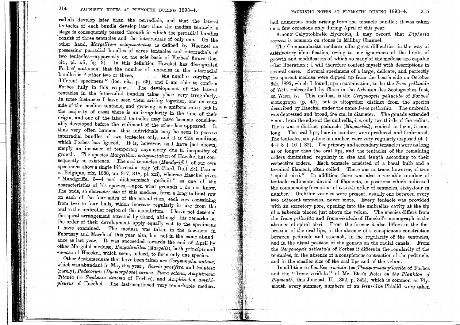radials develop later than the perradials, and that the lateral tentacles of each bundle develop later than the median tentacle, a stage is consequently passed through in which the perradial bundle consist of three tentacles and the interradials of only one. On the other hand, *Margellium octopunctatum* is defined by Haeckel as possessing perradial bundles of three tentacles and interradials of two tentacles-apparently on the sole basis of Forbes' figure (loc. cit., pl. xii, fig. 3). In this definition Haeckel has disregarded Forbes' statement that the number of tentacles in the interradial bundles is "either two or three, . . . the number varying in different specimens" (loc. cit., p. 65), and I am able to confirm Forbes fully in this respect. The development of the lateral tentacles in the interradial bundles takes place very irregularly. In some instances I have seen them arising together, one on each side of the median tentacle, and growing at a uniform rate; but in the majority of cases there is an irregularity in the time of their origin, and one of the lateral tentacles may have become considerably developed before the rudiment of the other has appeared. It thus very often happens that individuals may be seen to possess interradial bundles of two tentacles only, and it is this condition which Forbes has figured. It is, however, as I have just shown, simply an instance of temporary asymmetry due to inequality of growth. The species *Margellium octopunctatum* of Haeckel has consequently no existence. The oral tentacles *(Mundgriffel)* of our own specimens show a single bifurcation only (cf. Giard, Bull. Sci. France et Belgique, xix, 1888, pp. 317, 318, pI. xxi), whereas Haeckel gives "Mundgriffel 3--4 mal dichotomisch getheilt" as one of the characteristics of his species,-upon what grounds I do not know. The buds, so characteristic of this medusa, form a longitudinal row on each of the four sides of the manubrium, each row containing from two to four buds, which increase regularly in size from the oral to the umbrellar region of the manubrium. I have not detected the spiral arrangement attested by Giard, although his remarks on the order of their development apply equally well to the specimens I have examIned. The medusa was taken in the tow-nets in February and March of this year also, but not in the same abundance as last year. It was succeeded towards the end of April by other Margelid medusæ, *Bougainvillea* (Margelis), both *principis* and *ramosa* of Haeckel, which seem, indeed, to form only one species.

Other Anthomedusx that have been taken are *Corymonsha nutans* which was abundant in May this year; *Sarsia prolifera* and *tubulos~* (r~rel:y), *Podocoryne. (Dy~morphosa) carnea, Tiara octona, Amphinema*  $T$ *itania* (= Saphenia dinema of Forbes), and *Amphicodon amphipleurus* of Haeckel. The last-mentioned very remarkable medusa

had numerous buds arising from the tentacle bundle; it was taken on a few occasions only during April of this year.

Among Calyptoblastic Hydroids, I may record that *Diphasia rosacea* is common on stones in Millbay Channel.

The Campanularian medusæ offer great difficulties in the way of satisfactory identification, owing to our ignorance of the limits of growth and modification of which so many of the medusæ are capable after liberation; I will therefore content myself with descriptions in several cases. Several specimens of a large, delicate, and perfectly transparent medusa were dipped up from the boat's side on October 6th, 1892, which I found, upon examination, to be the *Irene pellucida* of Will, redescribed by Claus in the Arbeiten des Zoologisches Inst. 'zu Wien, iv. This medusa is the *Geryonopsis pellucida* of Forbes' monograph (p. 40), but is altogether distinct from the species described by Haeckel under the name *Irene pellucida.* The umbrella was depressed and broad, 2'4 cm. in diameter. The gonads extended 8 mm, from the edge of the umbrella, *i. e.* only two thirds of the radius. There was a distinct peduncle *(Magenstiel)*, conical in form, 5 mm. long. The oral lips, four in number, were produced and fimbriated. The tentacles, sixty-four in number, were very regularly disposed  $(4 +$  $4 + 8 + 16 + 32$ . The primary and secondary tentacles were as long as or longer than the oral lips, and the tentacles of the remaining orders diminished regularly in size and length according to their respective orders. Each tentacle consisted of a basal bulb and a terminal filament, often coiled. There was no trace, however, of true "spiral cirri." In addition there was also a variable number of tentacle rudiments, devoid of filaments, in positions which indicated the commencing formation of a sixth order of tentacles, sixty-four in number. Otolithic vesicles were present, usually one between every two adjacent tentacles, never more. Every tentacle was provided with an excretory pore, opening into the umbrellar cavity at the tip of a tubercle placed just above the velum. The species differs from 'the *Irene peltucida* and *Irene viridula* of Haeckel's monograph in the absence of spiral cirri. From the former it also differs in the fimbriation of the oral lips, in the absence of a conspicuous constriction between peduncle and stomach, in the regularity of the tentacles, and in the' distal position of the gonads on the radial canals. From the *Geryonopsis delicaiula* of Forbes it differs in the regularity of the tentacles, in the absence of a conspicuous contraction of the peduncle, and in the smaller size of the oral lips and of the velum.

In addition to *Laodice* cruciata (= Thaumantias pilosella of Forbes and the "Irene viridula" *of* Mr. Bles's *Notes on the Plankton of Plymouth,* this Journal, II, 1892, p. 342), which is common at Plymouth every summer, numbers of an *Irene-like* Phialid were taken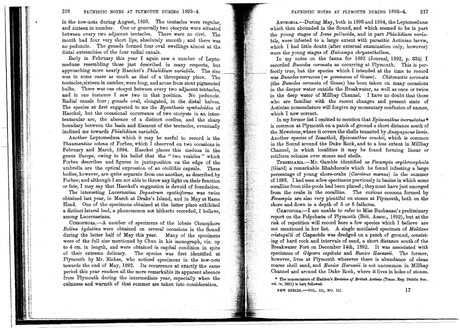in the taw-nets during August, 1893. The tentacles were regular, and sixteen in number. One or generally two otocysts were situated between every two adjacent tentacles. There were no cirri. The mouth had four very short lips, absolutely smooth; and there was no peduncle. The gonads formed four oval swellings almost at the distal extremities of the four radial canals.

Early in February this year I again saw a number of Leptomedusæ resembling those just described in many respects, but approaching more nearly Haeckel's *Phialidium variabile*. The size -- was in some cases as much as that of a threepenny piece. The tentacles, sixteen in number, were long, and arose from stout pigmented bulbs. There was one otocyst between every two adjacent tentacles. and in one instance I saw two in that position. No peduncle. Radial canals four; gonads oval, elongated, in the distal halves. The species at first suggested to me the *Epenthesis cymbaloidea* of Haeckel, but the occasional occurrence of two otocysts in an intertentacular arc, the absence of a distinct ocellus, and the sharp boundary between the basis and filament of the tentacles, eventually<br>inclined me towards. *Phialidium norighile* inclined me towards *Phialidium variabile*.

Another Leptomedusa which it may be useful to record is the *Thaumantias octona* of Forbes, which I observed on two occasions in February and March, 1894. Haeckel places this medusa in the genus *Eucope*, owing to his belief that the "two vesicles" which Forbes describes and figures in juxtaposition on the edge of the umbrella are the optical expression of an otolithic capsule. These bodies, however, are quite separate from one another, as described by Forbes; and although  $\overline{I}$  am not able to throw any light on their function or fate, I may say that Haeckel's suggestion is devoid of foundation. The interesting Lucernarian *Depastrum cyathiforme* was twice abtained last year, in March at Drake's Islaud, and in May at Rame Head. One of the specimens obtained at the latter place exhibite

a distinct lateral bud, a phenomenon not hitherto recorded, I believe, amang Lucernarians.

CTENOPHORA.-A number of specimens of the lobate Ctenophore Bolina *hydatina* were obtained on several occasions in the Sound during the latter half of May this year. Many of the specimens were of the full size mentioned by Chun in his monograph, viz. up to 4 cm. in length, and were obtained in capital condition in spite af their extreme delicacy. The species was first identified at Plymouth by Mr. Riches, who noticed specimens in the tow-nets towards the end of May, 1892. Its recurrence at exactly the same period this year renders all the more remarkable its apparent absence from Plymouth during the intermediate year, especially when the calmness and warmth of that summer are taken into consideration.

ANTHOZOA.-During May, both in 1893 and 1894, the Leptomedusæ which then abounded in the Sound, and which seemed to be in part the yaung stages af *I7'ene pellucida,* and in part *Phialidium variabile*, were infested to a large extent with parasitic Actinian larvæ, which I had little doubt (after external examination only, however) were the young stages of *Halcampa chrysanthellum*.

.

In my notes on the fauna for 1892 (Journal, 1892, p. 334) I recorded *Bunodes coronata* as occurring at Plymouth. This is perfectly true, but the species which I intended at the time to record  $\frac{1}{\text{was}}$  *Bunodes verrucosa* (= *gemmacea* of Gosse). *Chitonactis coronata* (the *Bunodes coronata* of Gosse) has been taken on many occasions in the deeper water outside the Breakwater, as well as once or twice in the deep water of Millbay Channel. I have no doubt that those who are familiar with the recent changes and present state of Actinian nomenclature will forgive my momentary confusion of names, which I now correct.

In my former list I omitted to mention that *Epizoanthus incrustatus*\* is common at Plymouth on a patch of ground a short distance south of the Mewstone, where it covers the shells tenanted by *Anapagurus lævis*. Another species of Zoanthid, *Epizoanthus couchii*, which is common in the Sound around the Duke Rock, and to a less extent in Millbay Channel, in which localities it may be found forming linear or retiform colonies over stones and shells.

TURBELLARIA.-Mr. Gamble identified as *Fecampia erythrocephala* (Giard) a remarkable Rhabdocœle which he found infesting a large percentage of young shore-crabs *(Carcinus mænas)* in the summer of 1893. I had seen a few specimens previously in basins in which some coralline from tide-pools had been placed; they must have just emerged from the crabs in the coralline. The curious cocoons formed by *Fecampia* are also very plentiful on stones at Plymouth, both on the shore and down to a depth of 5 or 6 fathoms.

CHATOPODA.-I am unable to refer to Miss Buchanan's preliminary report on the Polychæta of Plymouth (Brit. Assoc., 1892), but at the risk of repetition will record here a few species which I believe are not mentioned in her list. A single mutilated specimen of *Maldane cristagalli* of Claparède was dredged on a patch of ground, consisting of hard rock and intervals of sand, a short distance south of the Breakwater Fort on December 14th, 1892. It was associated with specimens of *Glycera capitata* and *Eunice Harassii*. The former, however, lives at Plymouth wherever there is abundance of clean coarse shell sand, and *Eunice Harassii* is not uncommon in Millbay Channel and around the Duke Rock, where it lives in holes of stones.

\* The nomenclature of Haddon's *Revision of British Actinia* (Trans. Roy. Dublin Soc., vol. iv, 1891) is here followed.

NEW SERIES. - VOL. III, NO. III. **17**